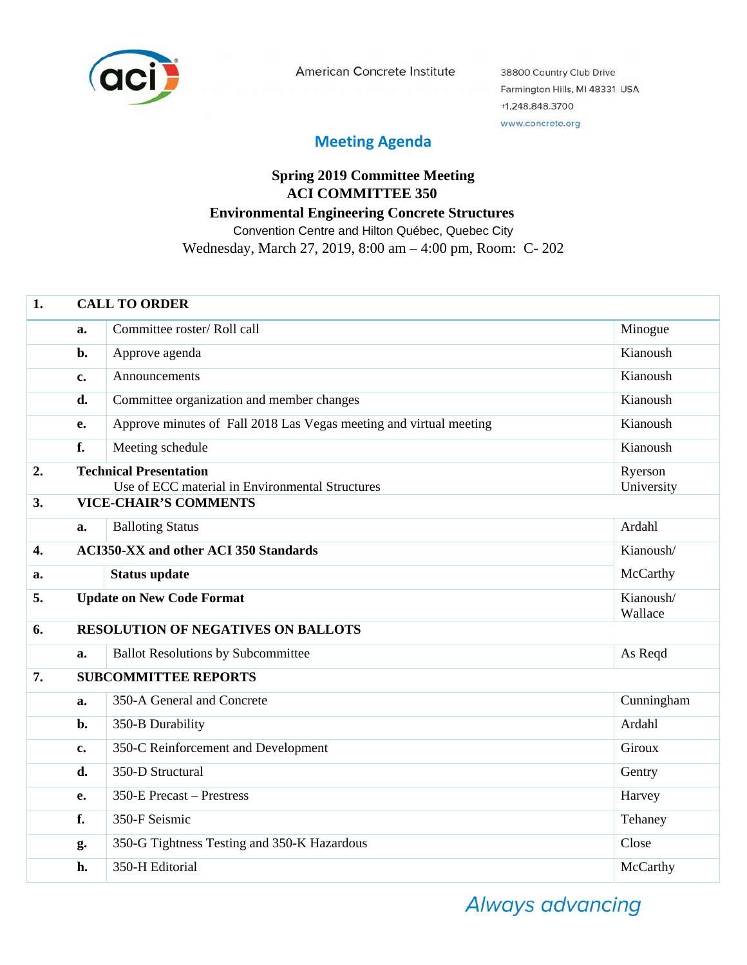

American Concrete Institute

38800 Country Club Drive Farmington Hills, MI 48331 USA +1.248.848.3700 www.concrete.org

## **Meeting Agenda**

## **Spring 2019 Committee Meeting ACI COMMITTEE 350 Environmental Engineering Concrete Structures**  Convention Centre and Hilton Québec, Quebec City Wednesday, March 27, 2019, 8:00 am – 4:00 pm, Room: C- 202

| 1.               |                                  | <b>CALL TO ORDER</b>                                                                                                                      |                      |  |  |
|------------------|----------------------------------|-------------------------------------------------------------------------------------------------------------------------------------------|----------------------|--|--|
|                  | a.                               | Committee roster/Roll call                                                                                                                | Minogue              |  |  |
|                  | b.                               | Approve agenda                                                                                                                            | Kianoush             |  |  |
|                  | $\mathbf{c}$ .                   | Announcements                                                                                                                             | Kianoush             |  |  |
|                  | d.                               | Committee organization and member changes                                                                                                 | Kianoush             |  |  |
|                  | e.                               | Approve minutes of Fall 2018 Las Vegas meeting and virtual meeting                                                                        | Kianoush             |  |  |
|                  | f.                               | Meeting schedule                                                                                                                          | Kianoush             |  |  |
| 2.<br>3.         |                                  | <b>Technical Presentation</b><br>Ryerson<br>Use of ECC material in Environmental Structures<br>University<br><b>VICE-CHAIR'S COMMENTS</b> |                      |  |  |
|                  | a.                               | <b>Balloting Status</b>                                                                                                                   | Ardahl               |  |  |
| $\overline{4}$ . |                                  | <b>ACI350-XX</b> and other ACI 350 Standards<br>Kianoush/                                                                                 |                      |  |  |
| a.               |                                  | <b>Status update</b>                                                                                                                      | McCarthy             |  |  |
| 5.               | <b>Update on New Code Format</b> |                                                                                                                                           | Kianoush/<br>Wallace |  |  |
| 6.               |                                  | <b>RESOLUTION OF NEGATIVES ON BALLOTS</b>                                                                                                 |                      |  |  |
|                  | a.                               | <b>Ballot Resolutions by Subcommittee</b>                                                                                                 | As Reqd              |  |  |
| 7.               |                                  | <b>SUBCOMMITTEE REPORTS</b>                                                                                                               |                      |  |  |
|                  | a.                               | 350-A General and Concrete                                                                                                                | Cunningham           |  |  |
|                  | b.                               | 350-B Durability                                                                                                                          | Ardahl               |  |  |
|                  | $\mathbf{c}$ .                   | 350-C Reinforcement and Development                                                                                                       | <b>Giroux</b>        |  |  |
|                  | d.                               | 350-D Structural                                                                                                                          | Gentry               |  |  |
|                  | e.                               | 350-E Precast – Prestress                                                                                                                 | Harvey               |  |  |
|                  | f.                               | 350-F Seismic                                                                                                                             | Tehaney              |  |  |
|                  | g.                               | 350-G Tightness Testing and 350-K Hazardous                                                                                               | Close                |  |  |
|                  | h.                               | 350-H Editorial                                                                                                                           | McCarthy             |  |  |

Always advancing